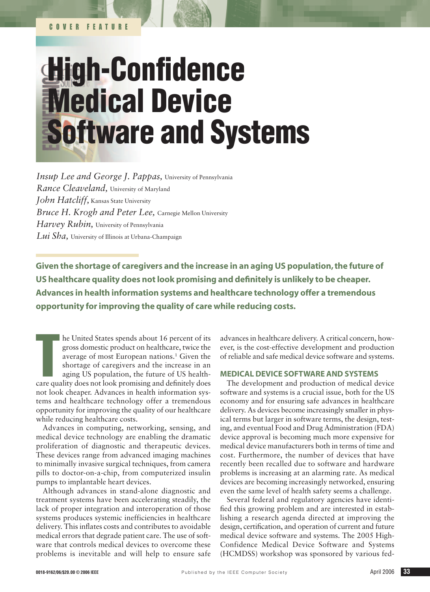#### COVER FEATURE

# **High-Confidence Medical Device Software and Systems**

*Insup Lee and George J. Pappas,* University of Pennsylvania *Rance Cleaveland,* University of Maryland *John Hatcliff,* Kansas State University *Bruce H. Krogh and Peter Lee,* Carnegie Mellon University *Harvey Rubin, University of Pennsylvania Lui Sha,* University of Illinois at Urbana-Champaign

**Given the shortage of caregivers and the increase in an aging US population, the future of US healthcare quality does not look promising and definitely is unlikely to be cheaper. Advances in health information systems and healthcare technology offer a tremendous opportunity for improving the quality of care while reducing costs.**

he United States spends about 16 percent of its<br>gross domestic product on healthcare, twice the<br>average of most European nations.<sup>1</sup> Given the<br>shortage of caregivers and the increase in an<br>aging US population, the future o he United States spends about 16 percent of its gross domestic product on healthcare, twice the average of most European nations.<sup>1</sup> Given the shortage of caregivers and the increase in an aging US population, the future of US healthnot look cheaper. Advances in health information systems and healthcare technology offer a tremendous opportunity for improving the quality of our healthcare while reducing healthcare costs.

Advances in computing, networking, sensing, and medical device technology are enabling the dramatic proliferation of diagnostic and therapeutic devices. These devices range from advanced imaging machines to minimally invasive surgical techniques, from camera pills to doctor-on-a-chip, from computerized insulin pumps to implantable heart devices.

Although advances in stand-alone diagnostic and treatment systems have been accelerating steadily, the lack of proper integration and interoperation of those systems produces systemic inefficiencies in healthcare delivery. This inflates costs and contributes to avoidable medical errors that degrade patient care. The use of software that controls medical devices to overcome these problems is inevitable and will help to ensure safe advances in healthcare delivery. A critical concern, however, is the cost-effective development and production of reliable and safe medical device software and systems.

## **MEDICAL DEVICE SOFTWARE AND SYSTEMS**

The development and production of medical device software and systems is a crucial issue, both for the US economy and for ensuring safe advances in healthcare delivery. As devices become increasingly smaller in physical terms but larger in software terms, the design, testing, and eventual Food and Drug Administration (FDA) device approval is becoming much more expensive for medical device manufacturers both in terms of time and cost. Furthermore, the number of devices that have recently been recalled due to software and hardware problems is increasing at an alarming rate. As medical devices are becoming increasingly networked, ensuring even the same level of health safety seems a challenge.

Several federal and regulatory agencies have identified this growing problem and are interested in establishing a research agenda directed at improving the design, certification, and operation of current and future medical device software and systems. The 2005 High-Confidence Medical Device Software and Systems (HCMDSS) workshop was sponsored by various fed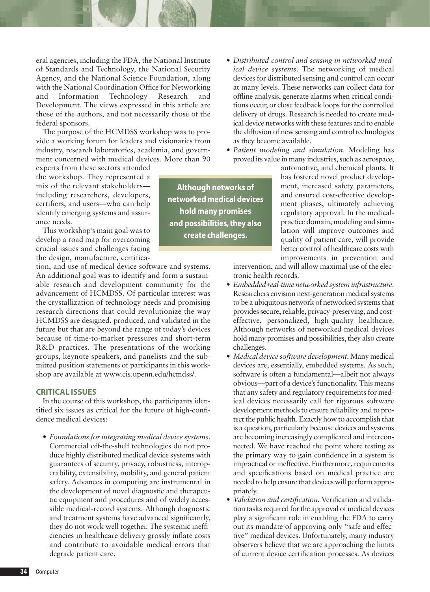eral agencies, including the FDA, the National Institute of Standards and Technology, the National Security Agency, and the National Science Foundation, along with the National Coordination Office for Networking and Information Technology Research and Development. The views expressed in this article are those of the authors, and not necessarily those of the federal sponsors.

The purpose of the HCMDSS workshop was to provide a working forum for leaders and visionaries from industry, research laboratories, academia, and government concerned with medical devices. More than 90

experts from these sectors attended the workshop. They represented a mix of the relevant stakeholders including researchers, developers, certifiers, and users—who can help identify emerging systems and assurance needs.

This workshop's main goal was to develop a road map for overcoming crucial issues and challenges facing the design, manufacture, certifica-

tion, and use of medical device software and systems. An additional goal was to identify and form a sustainable research and development community for the advancement of HCMDSS. Of particular interest was the crystallization of technology needs and promising research directions that could revolutionize the way HCMDSS are designed, produced, and validated in the future but that are beyond the range of today's devices because of time-to-market pressures and short-term R&D practices. The presentations of the working groups, keynote speakers, and panelists and the submitted position statements of participants in this workshop are available at www.cis.upenn.edu/hcmdss/.

## **CRITICAL ISSUES**

In the course of this workshop, the participants identified six issues as critical for the future of high-confidence medical devices:

• *Foundations for integrating medical device systems*. Commercial off-the-shelf technologies do not produce highly distributed medical device systems with guarantees of security, privacy, robustness, interoperability, extensibility, mobility, and general patient safety. Advances in computing are instrumental in the development of novel diagnostic and therapeutic equipment and procedures and of widely accessible medical-record systems. Although diagnostic and treatment systems have advanced significantly, they do not work well together. The systemic inefficiencies in healthcare delivery grossly inflate costs and contribute to avoidable medical errors that degrade patient care.

**Although networks of networked medical devices hold many promises and possibilities, they also create challenges.**

- *Distributed control and sensing in networked medical device systems*. The networking of medical devices for distributed sensing and control can occur at many levels. These networks can collect data for offline analysis, generate alarms when critical conditions occur, or close feedback loops for the controlled delivery of drugs. Research is needed to create medical device networks with these features and to enable the diffusion of new sensing and control technologies as they become available.
- *Patient modeling and simulation*. Modeling has proved its value in many industries, such as aerospace,

automotive, and chemical plants. It has fostered novel product development, increased safety parameters, and ensured cost-effective development phases, ultimately achieving regulatory approval. In the medicalpractice domain, modeling and simulation will improve outcomes and quality of patient care, will provide better control of healthcare costs with improvements in prevention and

intervention, and will allow maximal use of the electronic health records.

- *Embedded real-time networked system infrastructure*. Researchers envision next-generation medical systems to be a ubiquitous network of networked systems that provides secure, reliable, privacy-preserving, and costeffective, personalized, high-quality healthcare. Although networks of networked medical devices hold many promises and possibilities, they also create challenges.
- *Medical device software development*. Many medical devices are, essentially, embedded systems. As such, software is often a fundamental—albeit not always obvious—part of a device's functionality. This means that any safety and regulatory requirements for medical devices necessarily call for rigorous software development methods to ensure reliability and to protect the public health. Exactly how to accomplish that is a question, particularly because devices and systems are becoming increasingly complicated and interconnected. We have reached the point where testing as the primary way to gain confidence in a system is impractical or ineffective. Furthermore, requirements and specifications based on medical practice are needed to help ensure that devices will perform appropriately.
- *Validation and certification.* Verification and validation tasks required for the approval of medical devices play a significant role in enabling the FDA to carry out its mandate of approving only "safe and effective" medical devices. Unfortunately, many industry observers believe that we are approaching the limits of current device certification processes. As devices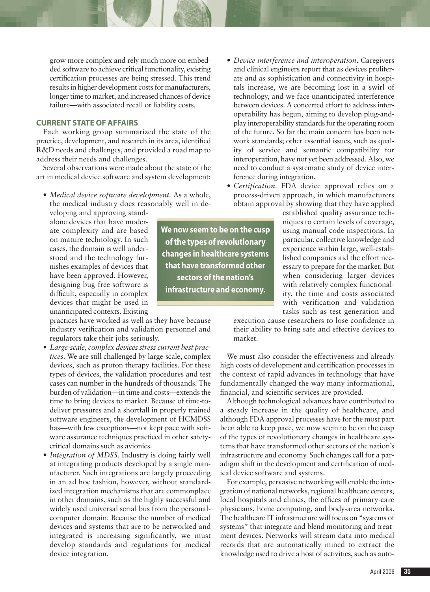grow more complex and rely much more on embedded software to achieve critical functionality, existing certification processes are being stressed. This trend results in higher development costs for manufacturers, longer time to market, and increased chances of device failure—with associated recall or liability costs.

# **CURRENT STATE OF AFFAIRS**

Each working group summarized the state of the practice, development, and research in its area, identified R&D needs and challenges, and provided a road map to address their needs and challenges.

Several observations were made about the state of the art in medical device software and system development:

*• Medical device software development.* As a whole, the medical industry does reasonably well in de-

veloping and approving standalone devices that have moderate complexity and are based on mature technology. In such cases, the domain is well understood and the technology furnishes examples of devices that have been approved. However, designing bug-free software is difficult, especially in complex devices that might be used in unanticipated contexts. Existing

practices have worked as well as they have because industry verification and validation personnel and regulators take their jobs seriously.

- *Large-scale, complex devices stress current best practices*. We are still challenged by large-scale, complex devices, such as proton therapy facilities. For these types of devices, the validation procedures and test cases can number in the hundreds of thousands. The burden of validation—in time and costs—extends the time to bring devices to market. Because of time-todeliver pressures and a shortfall in properly trained software engineers, the development of HCMDSS has—with few exceptions—not kept pace with software assurance techniques practiced in other safetycritical domains such as avionics.
- *Integration of MDSS*. Industry is doing fairly well at integrating products developed by a single manufacturer. Such integrations are largely proceeding in an ad hoc fashion, however, without standardized integration mechanisms that are commonplace in other domains, such as the highly successful and widely used universal serial bus from the personalcomputer domain. Because the number of medical devices and systems that are to be networked and integrated is increasing significantly, we must develop standards and regulations for medical device integration.

**We now seem to be on the cusp of the types of revolutionary changes in healthcare systems that have transformed other sectors of the nation's infrastructure and economy.**

- *Device interference and interoperation*. Caregivers and clinical engineers report that as devices proliferate and as sophistication and connectivity in hospitals increase, we are becoming lost in a swirl of technology, and we face unanticipated interference between devices. A concerted effort to address interoperability has begun, aiming to develop plug-andplay interoperability standards for the operating room of the future. So far the main concern has been network standards; other essential issues, such as quality of service and semantic compatibility for interoperation, have not yet been addressed. Also, we need to conduct a systematic study of device interference during integration.
- *Certification.* FDA device approval relies on a process-driven approach, in which manufacturers obtain approval by showing that they have applied

established quality assurance techniques to certain levels of coverage, using manual code inspections. In particular, collective knowledge and experience within large, well-established companies aid the effort necessary to prepare for the market. But when considering larger devices with relatively complex functionality, the time and costs associated with verification and validation tasks such as test generation and

execution cause researchers to lose confidence in their ability to bring safe and effective devices to market.

We must also consider the effectiveness and already high costs of development and certification processes in the context of rapid advances in technology that have fundamentally changed the way many informational, financial, and scientific services are provided.

Although technological advances have contributed to a steady increase in the quality of healthcare, and although FDA approval processes have for the most part been able to keep pace, we now seem to be on the cusp of the types of revolutionary changes in healthcare systems that have transformed other sectors of the nation's infrastructure and economy. Such changes call for a paradigm shift in the development and certification of medical device software and systems.

For example, pervasive networking will enable the integration of national networks, regional healthcare centers, local hospitals and clinics, the offices of primary-care physicians, home computing, and body-area networks. The healthcare IT infrastructure will focus on "systems of systems" that integrate and blend monitoring and treatment devices. Networks will stream data into medical records that are automatically mined to extract the knowledge used to drive a host of activities, such as auto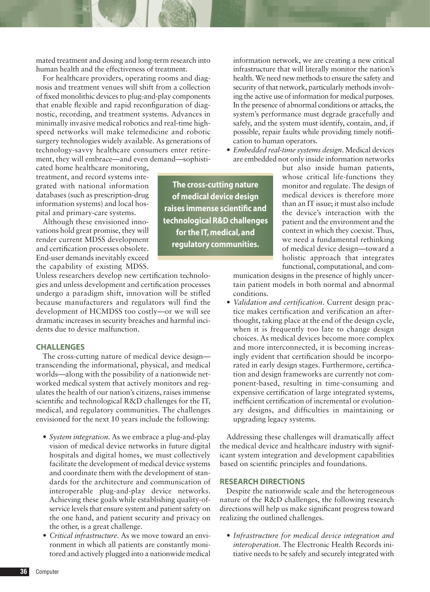mated treatment and dosing and long-term research into human health and the effectiveness of treatment.

For healthcare providers, operating rooms and diagnosis and treatment venues will shift from a collection of fixed monolithic devices to plug-and-play components that enable flexible and rapid reconfiguration of diagnostic, recording, and treatment systems. Advances in minimally invasive medical robotics and real-time highspeed networks will make telemedicine and robotic surgery technologies widely available. As generations of technology-savvy healthcare consumers enter retirement, they will embrace—and even demand—sophisti-

cated home healthcare monitoring, treatment, and record systems integrated with national information databases (such as prescription-drug information systems) and local hospital and primary-care systems.

Although these envisioned innovations hold great promise, they will render current MDSS development and certification processes obsolete. End-user demands inevitably exceed the capability of existing MDSS.

Unless researchers develop new certification technologies and unless development and certification processes undergo a paradigm shift, innovation will be stifled because manufacturers and regulators will find the development of HCMDSS too costly—or we will see dramatic increases in security breaches and harmful incidents due to device malfunction.

### **CHALLENGES**

The cross-cutting nature of medical device design transcending the informational, physical, and medical worlds—along with the possibility of a nationwide networked medical system that actively monitors and regulates the health of our nation's citizens, raises immense scientific and technological R&D challenges for the IT, medical, and regulatory communities. The challenges envisioned for the next 10 years include the following:

- *System integration*. As we embrace a plug-and-play vision of medical device networks in future digital hospitals and digital homes, we must collectively facilitate the development of medical device systems and coordinate them with the development of standards for the architecture and communication of interoperable plug-and-play device networks. Achieving these goals while establishing quality-ofservice levels that ensure system and patient safety on the one hand, and patient security and privacy on the other, is a great challenge.
- *Critical infrastructure*. As we move toward an environment in which all patients are constantly monitored and actively plugged into a nationwide medical

information network, we are creating a new critical infrastructure that will literally monitor the nation's health. We need new methods to ensure the safety and security of that network, particularly methods involving the active use of information for medical purposes. In the presence of abnormal conditions or attacks, the system's performance must degrade gracefully and safely, and the system must identify, contain, and, if possible, repair faults while providing timely notification to human operators.

*• Embedded real-time systems design*. Medical devices are embedded not only inside information networks

but also inside human patients, whose critical life-functions they monitor and regulate. The design of medical devices is therefore more than an IT issue; it must also include the device's interaction with the patient and the environment and the context in which they coexist. Thus, we need a fundamental rethinking of medical device design—toward a holistic approach that integrates functional, computational, and com-

munication designs in the presence of highly uncertain patient models in both normal and abnormal conditions.

*• Validation and certification*. Current design practice makes certification and verification an afterthought, taking place at the end of the design cycle, when it is frequently too late to change design choices. As medical devices become more complex and more interconnected, it is becoming increasingly evident that certification should be incorporated in early design stages. Furthermore, certification and design frameworks are currently not component-based, resulting in time-consuming and expensive certification of large integrated systems, inefficient certification of incremental or evolutionary designs, and difficulties in maintaining or upgrading legacy systems.

Addressing these challenges will dramatically affect the medical device and healthcare industry with significant system integration and development capabilities based on scientific principles and foundations.

## **RESEARCH DIRECTIONS**

Despite the nationwide scale and the heterogeneous nature of the R&D challenges, the following research directions will help us make significant progress toward realizing the outlined challenges.

*• Infrastructure for medical device integration and interoperation*. The Electronic Health Records initiative needs to be safely and securely integrated with

**The cross-cutting nature of medical device design raises immense scientific and technological R&D challenges for the IT, medical, and regulatory communities.**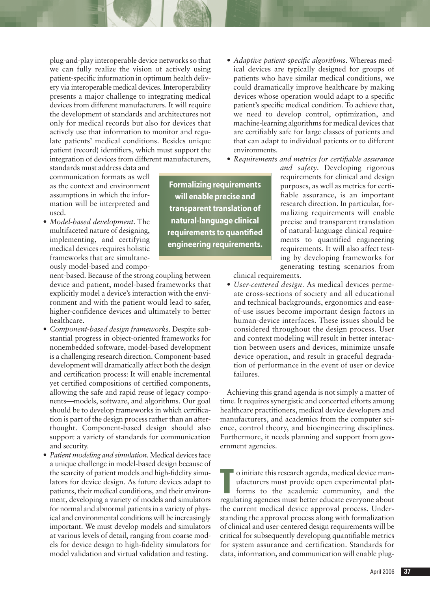plug-and-play interoperable device networks so that we can fully realize the vision of actively using patient-specific information in optimum health delivery via interoperable medical devices. Interoperability presents a major challenge to integrating medical devices from different manufacturers. It will require the development of standards and architectures not only for medical records but also for devices that actively use that information to monitor and regulate patients' medical conditions. Besides unique patient (record) identifiers, which must support the integration of devices from different manufacturers,

standards must address data and communication formats as well as the context and environment assumptions in which the information will be interpreted and used.

*• Model-based development*. The multifaceted nature of designing, implementing, and certifying medical devices requires holistic frameworks that are simultaneously model-based and compo-

nent-based. Because of the strong coupling between device and patient, model-based frameworks that explicitly model a device's interaction with the environment and with the patient would lead to safer, higher-confidence devices and ultimately to better healthcare.

- *Component-based design frameworks*. Despite substantial progress in object-oriented frameworks for nonembedded software, model-based development is a challenging research direction. Component-based development will dramatically affect both the design and certification process: It will enable incremental yet certified compositions of certified components, allowing the safe and rapid reuse of legacy components—models, software, and algorithms. Our goal should be to develop frameworks in which certification is part of the design process rather than an afterthought. Component-based design should also support a variety of standards for communication and security.
- *Patient modeling and simulation*. Medical devices face a unique challenge in model-based design because of the scarcity of patient models and high-fidelity simulators for device design. As future devices adapt to patients, their medical conditions, and their environment, developing a variety of models and simulators for normal and abnormal patients in a variety of physical and environmental conditions will be increasingly important. We must develop models and simulators at various levels of detail, ranging from coarse models for device design to high-fidelity simulators for model validation and virtual validation and testing.

**Formalizing requirements will enable precise and transparent translation of natural-language clinical requirements to quantified engineering requirements.**

- *Adaptive patient-specific algorithms*. Whereas medical devices are typically designed for groups of patients who have similar medical conditions, we could dramatically improve healthcare by making devices whose operation would adapt to a specific patient's specific medical condition. To achieve that, we need to develop control, optimization, and machine-learning algorithms for medical devices that are certifiably safe for large classes of patients and that can adapt to individual patients or to different environments.
- *Requirements and metrics for certifiable assurance*
	- *and safety*. Developing rigorous requirements for clinical and design purposes, as well as metrics for certifiable assurance, is an important research direction. In particular, formalizing requirements will enable precise and transparent translation of natural-language clinical requirements to quantified engineering requirements. It will also affect testing by developing frameworks for generating testing scenarios from

clinical requirements.

*• User-centered design*. As medical devices permeate cross-sections of society and all educational and technical backgrounds, ergonomics and easeof-use issues become important design factors in human-device interfaces. These issues should be considered throughout the design process. User and context modeling will result in better interaction between users and devices, minimize unsafe device operation, and result in graceful degradation of performance in the event of user or device failures.

Achieving this grand agenda is not simply a matter of time. It requires synergistic and concerted efforts among healthcare practitioners, medical device developers and manufacturers, and academics from the computer science, control theory, and bioengineering disciplines. Furthermore, it needs planning and support from government agencies.

T o initiate this research agenda, medical device manufacturers must provide open experimental platforms to the academic community, and the regulating agencies must better educate everyone about the current medical device approval process. Understanding the approval process along with formalization of clinical and user-centered design requirements will be critical for subsequently developing quantifiable metrics for system assurance and certification. Standards for data, information, and communication will enable plug